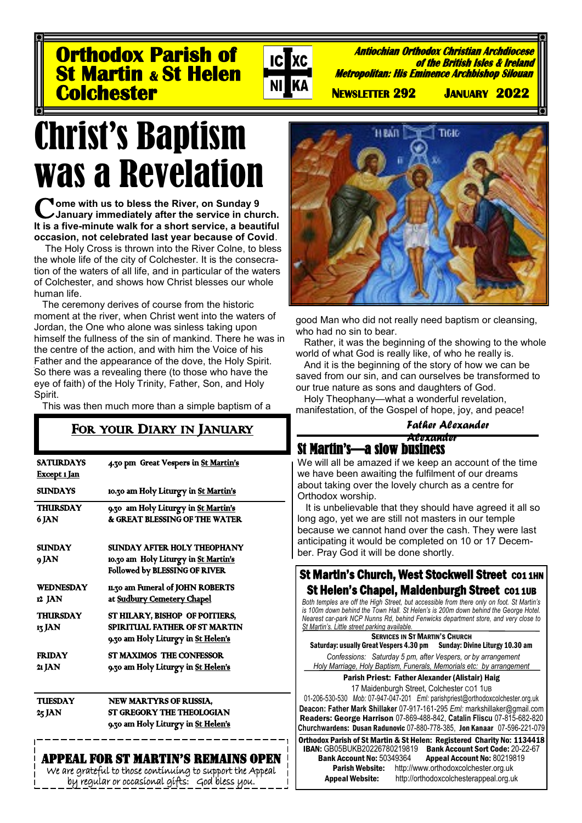**Orthodox Parish of St Martin & St Helen Colchester** 



**Antiochian Orthodox Christian Archdiocese of the British Isles & Ireland Metropolitan: His Eminence Archbishop Silouan** 

 **NEWSLETTER 292 JANUARY 2022** 

# Christ's Baptism was a Revelation

Come with us to bless the River, on Sunday 9<br>
U January immediately after the service in chu **January immediately after the service in church. It is a five-minute walk for a short service, a beautiful occasion, not celebrated last year because of Covid**.

The Holy Cross is thrown into the River Colne, to bless the whole life of the city of Colchester. It is the consecration of the waters of all life, and in particular of the waters of Colchester, and shows how Christ blesses our whole human life.

The ceremony derives of course from the historic moment at the river, when Christ went into the waters of Jordan, the One who alone was sinless taking upon himself the fullness of the sin of mankind. There he was in the centre of the action, and with him the Voice of his Father and the appearance of the dove, the Holy Spirit. So there was a revealing there (to those who have the eye of faith) of the Holy Trinity, Father, Son, and Holy Spirit.

This was then much more than a simple baptism of a

## FOR YOUR DIARY IN JANUARY

| SATURDAYS<br><u>Except 1 Jan</u>                                                                  | 4.30 pm Great Vespers in St Martin's                                                                  |  |
|---------------------------------------------------------------------------------------------------|-------------------------------------------------------------------------------------------------------|--|
| <b>SUNDAYS</b>                                                                                    | 10.30 am Holy Liturgy in St Martin's                                                                  |  |
| THURSDAY<br>6 JAN                                                                                 | 9.30 am Holy Liturgy in St Martin's<br>& GREAT BLESSING OF THE WATER                                  |  |
| <b>SUNDAY</b><br>9 JAN                                                                            | SUNDAY AFTER HOLY THEOPHANY<br>10.30 am Holy Liturgy in St Martin's<br>Followed by BLESSING OF RIVER  |  |
| WEDNESDAY<br>12 JAN                                                                               | 11.30 am Funeral of JOHN ROBERTS<br>at Sudbury Cemetery Chapel                                        |  |
| THURSDAY<br>13 JAN                                                                                | ST HILARY, BISHOP OF POITIERS,<br>SPIRITUAL FATHER OF ST MARTIN<br>9.30 am Holy Liturgy in St Helen's |  |
| <b>FRIDAY</b><br>21 JAN                                                                           | <b>ST MAXIMOS THE CONFESSOR</b><br>9.30 am Holy Liturgy in St Helen's                                 |  |
| <b>THESDAY</b><br>25 JAN                                                                          | NEW MARTYRS OF RUSSIA,<br><b>ST GREGORY THE THEOLOGIAN</b><br>9.30 am Holy Liturgy in St Helen's      |  |
| PPEAL FOR ST MARTIN'S REMAINS OPEN<br>والمتماط للمتوسط والمستكين كالمتواط والمتحال والملحمية ومتح |                                                                                                       |  |

are grateful to those continuing to support the Appeal by regular or occasional gifts: God bless you.



good Man who did not really need baptism or cleansing, who had no sin to bear.

Rather, it was the beginning of the showing to the whole world of what God is really like, of who he really is.

And it is the beginning of the story of how we can be saved from our sin, and can ourselves be transformed to our true nature as sons and daughters of God.

Holy Theophany—what a wonderful revelation, manifestation, of the Gospel of hope, joy, and peace!

> *Father Alexander Alexander*

### St Martin's—a slow business

We will all be amazed if we keep an account of the time we have been awaiting the fulfilment of our dreams about taking over the lovely church as a centre for Orthodox worship.

 It is unbelievable that they should have agreed it all so long ago, yet we are still not masters in our temple because we cannot hand over the cash. They were last anticipating it would be completed on 10 or 17 December. Pray God it will be done shortly.